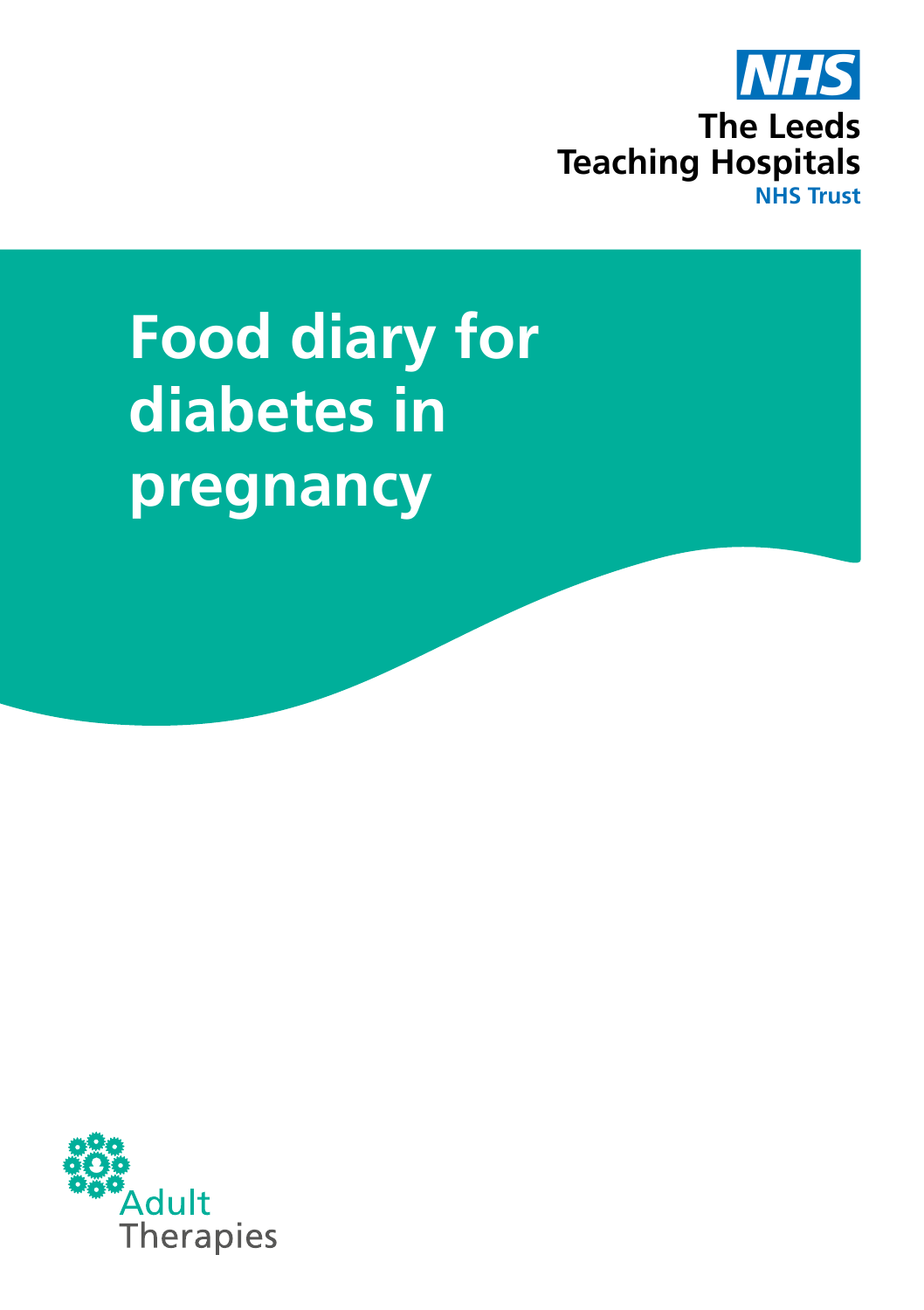

# **Food diary for diabetes in pregnancy**

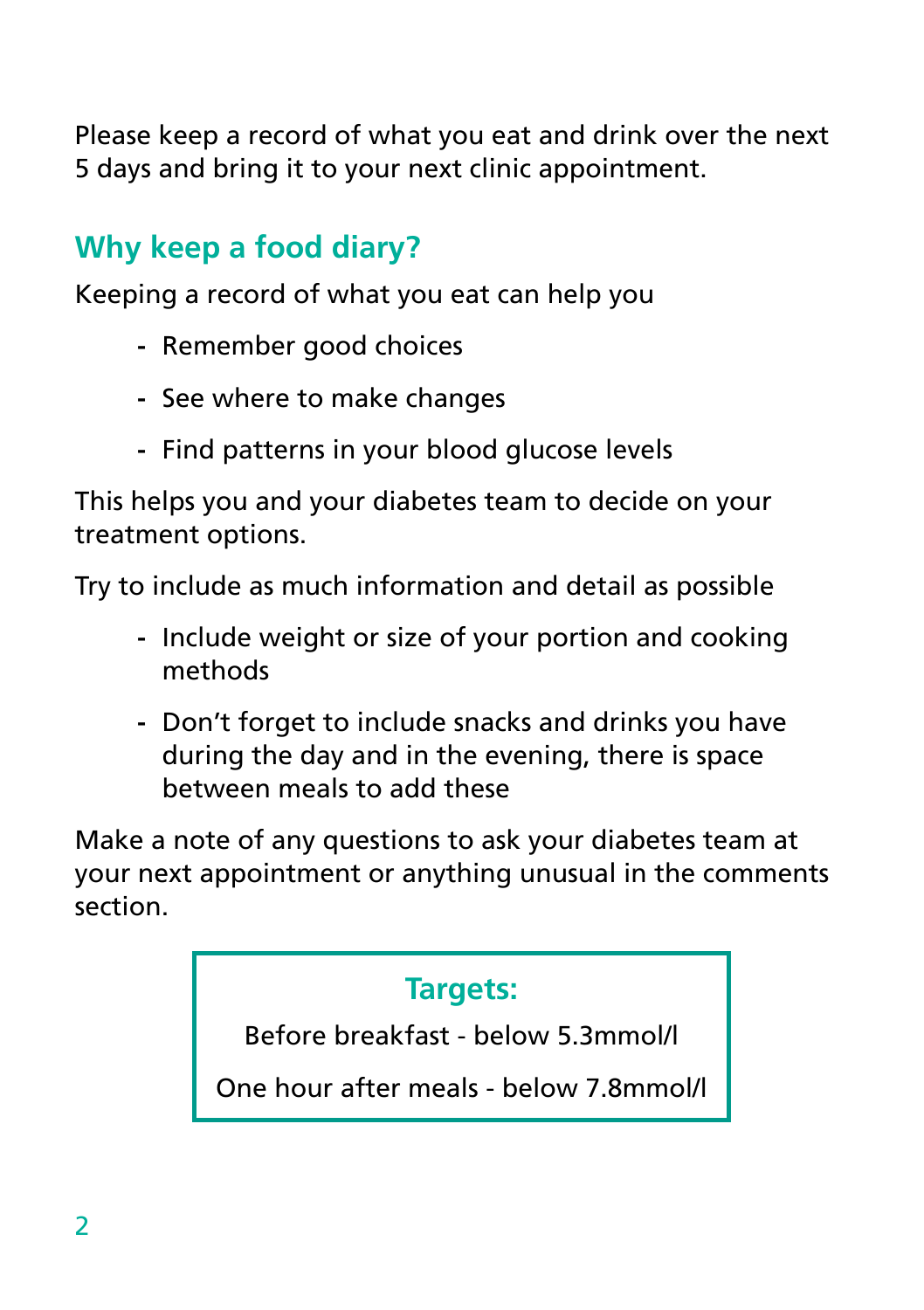Please keep a record of what you eat and drink over the next 5 days and bring it to your next clinic appointment.

# **Why keep a food diary?**

Keeping a record of what you eat can help you

- **-** Remember good choices
- **-** See where to make changes
- **-** Find patterns in your blood glucose levels

This helps you and your diabetes team to decide on your treatment options.

Try to include as much information and detail as possible

- **-** Include weight or size of your portion and cooking methods
- **-** Don't forget to include snacks and drinks you have during the day and in the evening, there is space between meals to add these

Make a note of any questions to ask your diabetes team at your next appointment or anything unusual in the comments section.

#### **Targets:**

Before breakfast - below 5.3mmol/l

One hour after meals - below 7.8mmol/l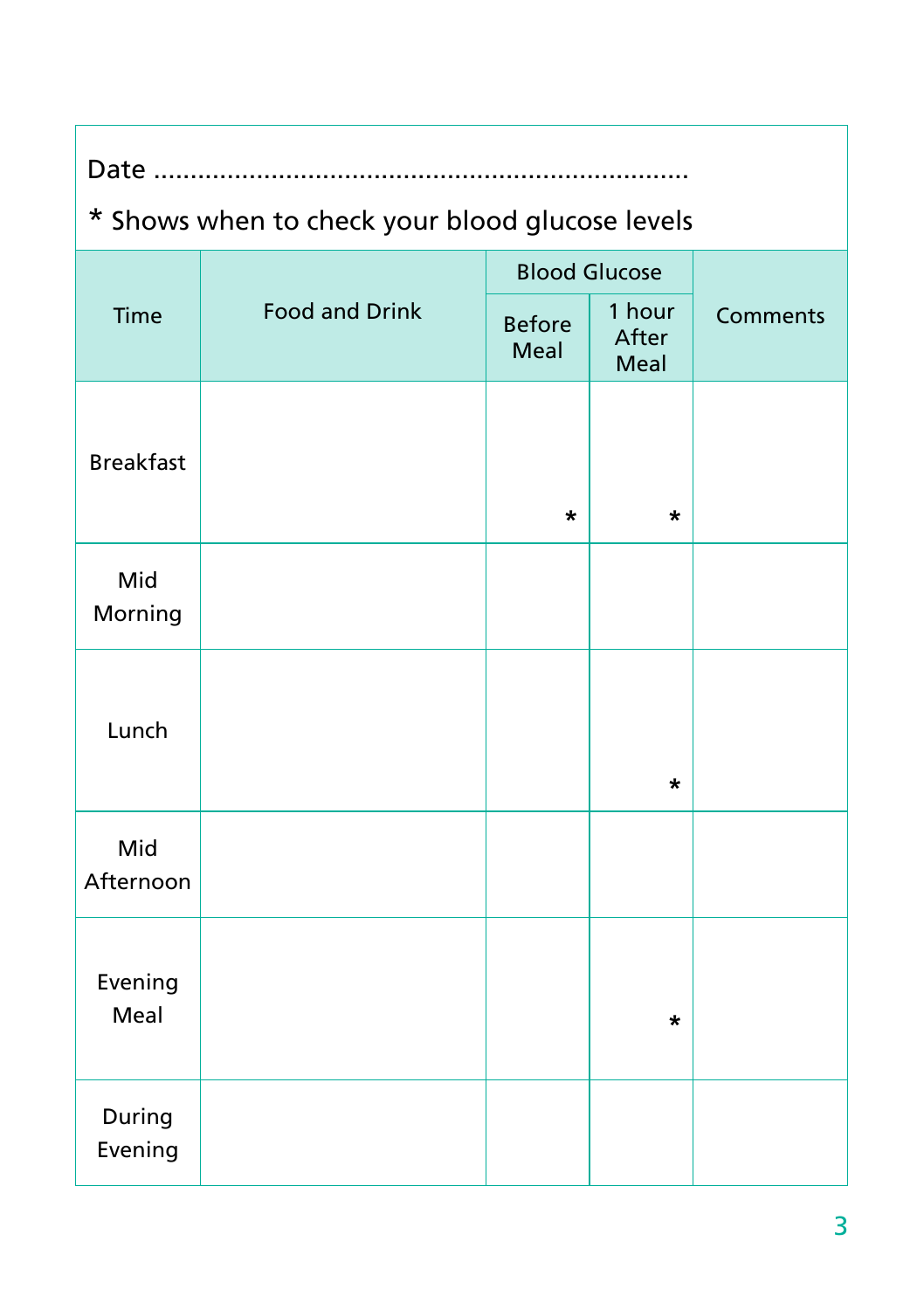| Time              | <b>Food and Drink</b> | <b>Blood Glucose</b>  |                         |          |
|-------------------|-----------------------|-----------------------|-------------------------|----------|
|                   |                       | <b>Before</b><br>Meal | 1 hour<br>After<br>Meal | Comments |
| <b>Breakfast</b>  |                       | *                     | *                       |          |
| Mid<br>Morning    |                       |                       |                         |          |
| Lunch             |                       |                       | *                       |          |
| Mid<br>Afternoon  |                       |                       |                         |          |
| Evening<br>Meal   |                       |                       | *                       |          |
| During<br>Evening |                       |                       |                         |          |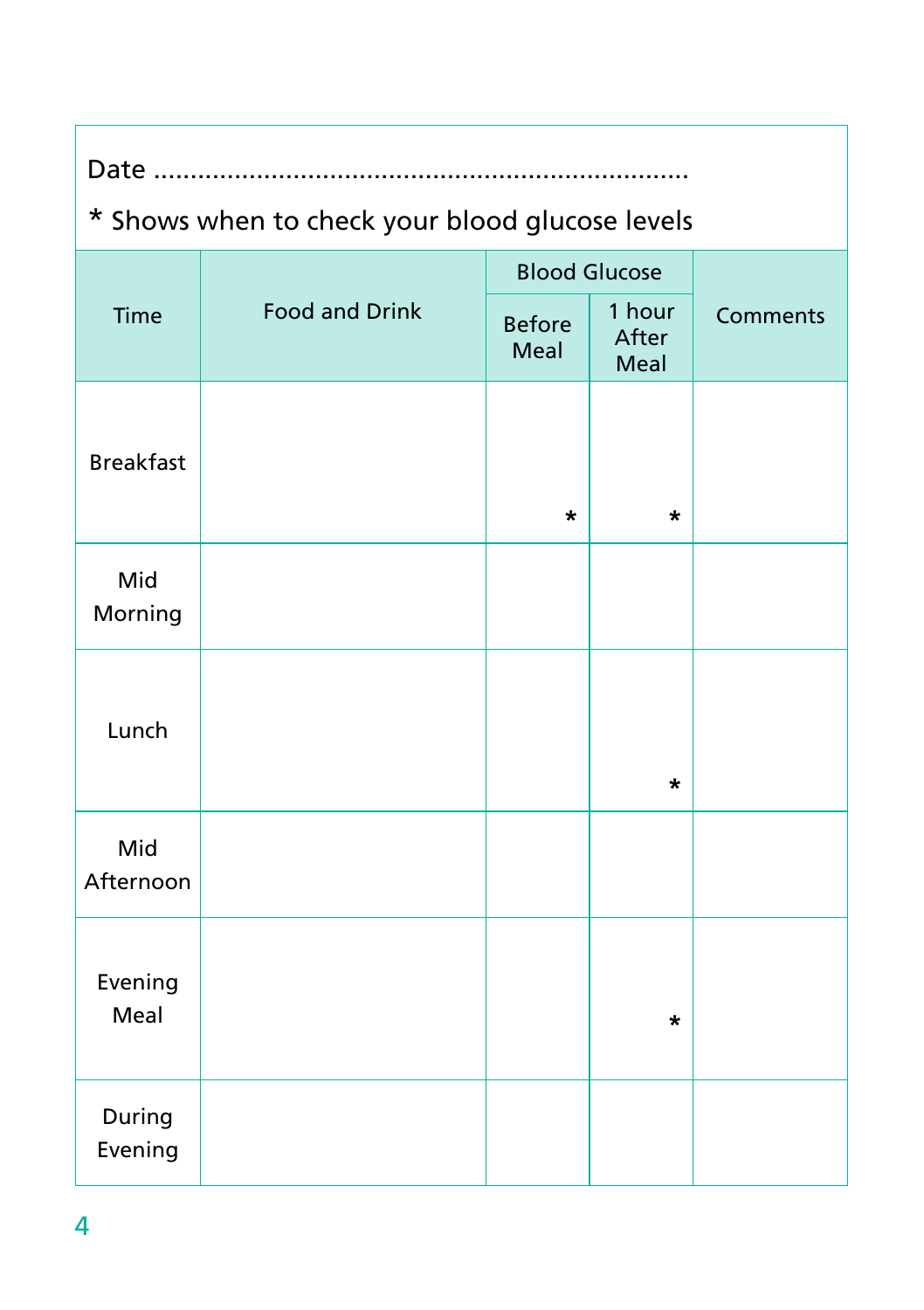|                   | <b>Food and Drink</b> | <b>Blood Glucose</b>  |                         |                 |
|-------------------|-----------------------|-----------------------|-------------------------|-----------------|
| Time              |                       | <b>Before</b><br>Meal | 1 hour<br>After<br>Meal | <b>Comments</b> |
| <b>Breakfast</b>  |                       | *                     | $\star$                 |                 |
| Mid<br>Morning    |                       |                       |                         |                 |
| Lunch             |                       |                       | *                       |                 |
| Mid<br>Afternoon  |                       |                       |                         |                 |
| Evening<br>Meal   |                       |                       | $\star$                 |                 |
| During<br>Evening |                       |                       |                         |                 |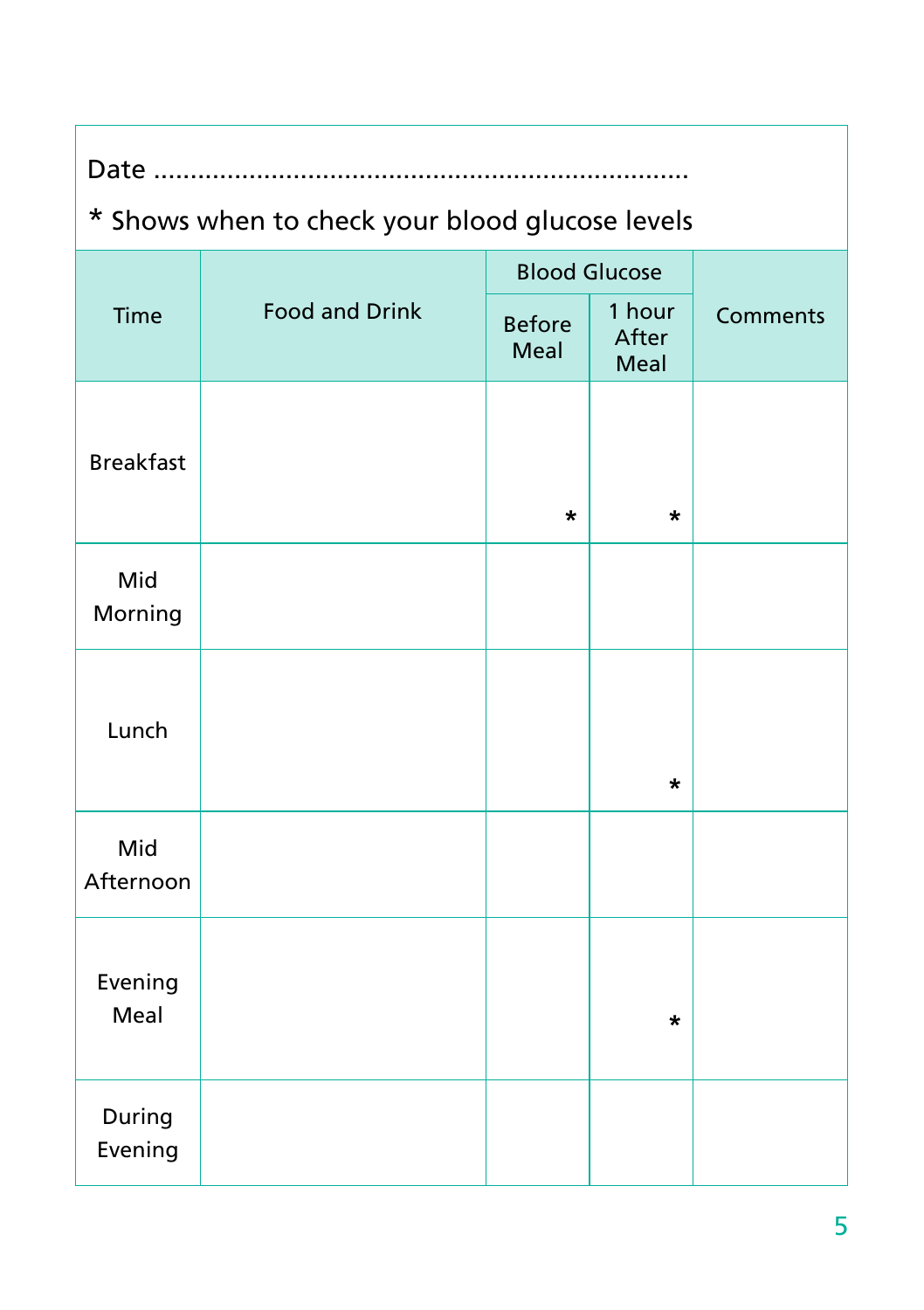| Time              | <b>Food and Drink</b> | <b>Blood Glucose</b>  |                         |          |
|-------------------|-----------------------|-----------------------|-------------------------|----------|
|                   |                       | <b>Before</b><br>Meal | 1 hour<br>After<br>Meal | Comments |
| <b>Breakfast</b>  |                       | *                     | *                       |          |
| Mid<br>Morning    |                       |                       |                         |          |
| Lunch             |                       |                       | *                       |          |
| Mid<br>Afternoon  |                       |                       |                         |          |
| Evening<br>Meal   |                       |                       | *                       |          |
| During<br>Evening |                       |                       |                         |          |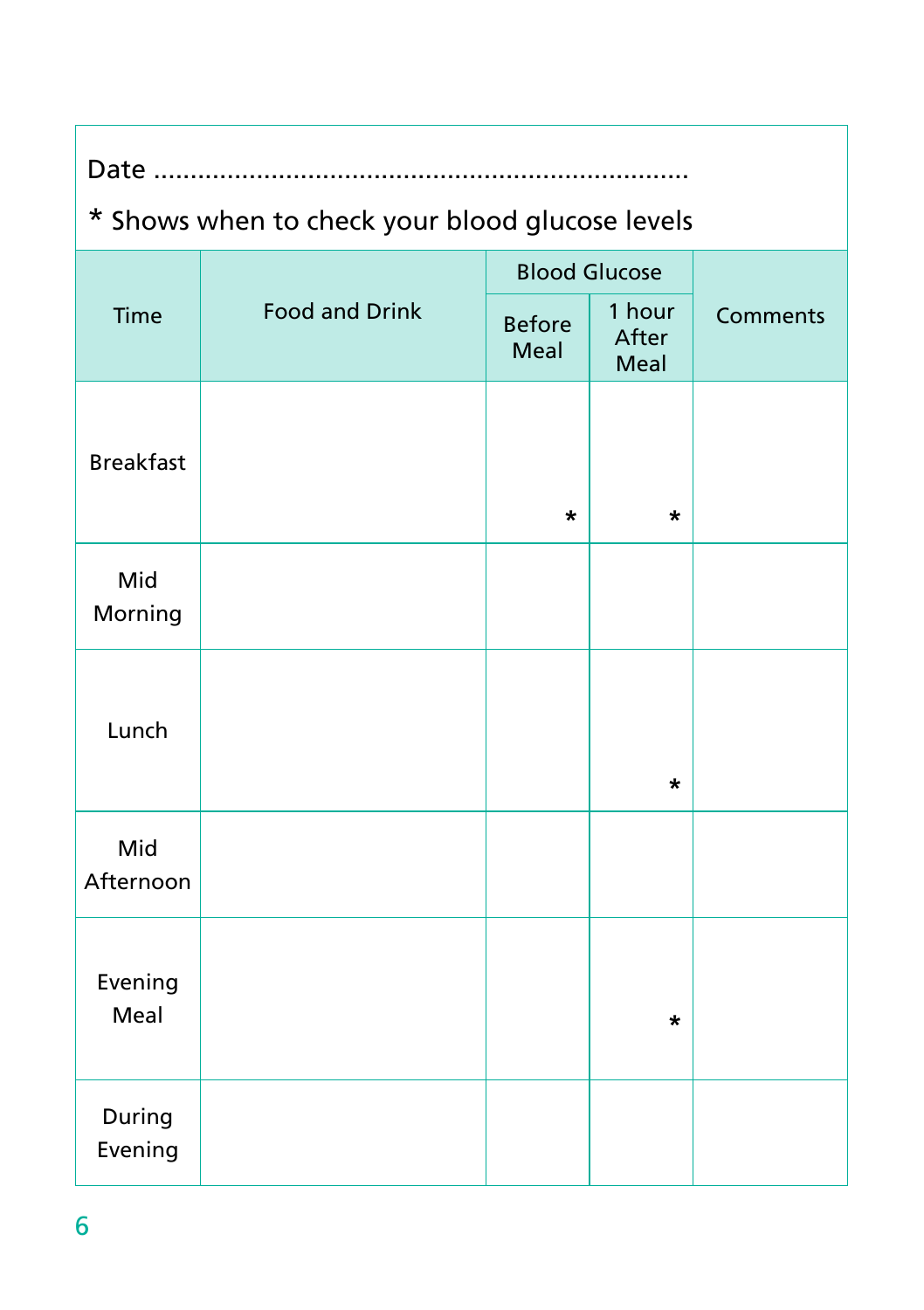|                   | <b>Food and Drink</b> | <b>Blood Glucose</b>  |                         |                 |
|-------------------|-----------------------|-----------------------|-------------------------|-----------------|
| Time              |                       | <b>Before</b><br>Meal | 1 hour<br>After<br>Meal | <b>Comments</b> |
| <b>Breakfast</b>  |                       | $\star$               | *                       |                 |
| Mid<br>Morning    |                       |                       |                         |                 |
| Lunch             |                       |                       | $\star$                 |                 |
| Mid<br>Afternoon  |                       |                       |                         |                 |
| Evening<br>Meal   |                       |                       | *                       |                 |
| During<br>Evening |                       |                       |                         |                 |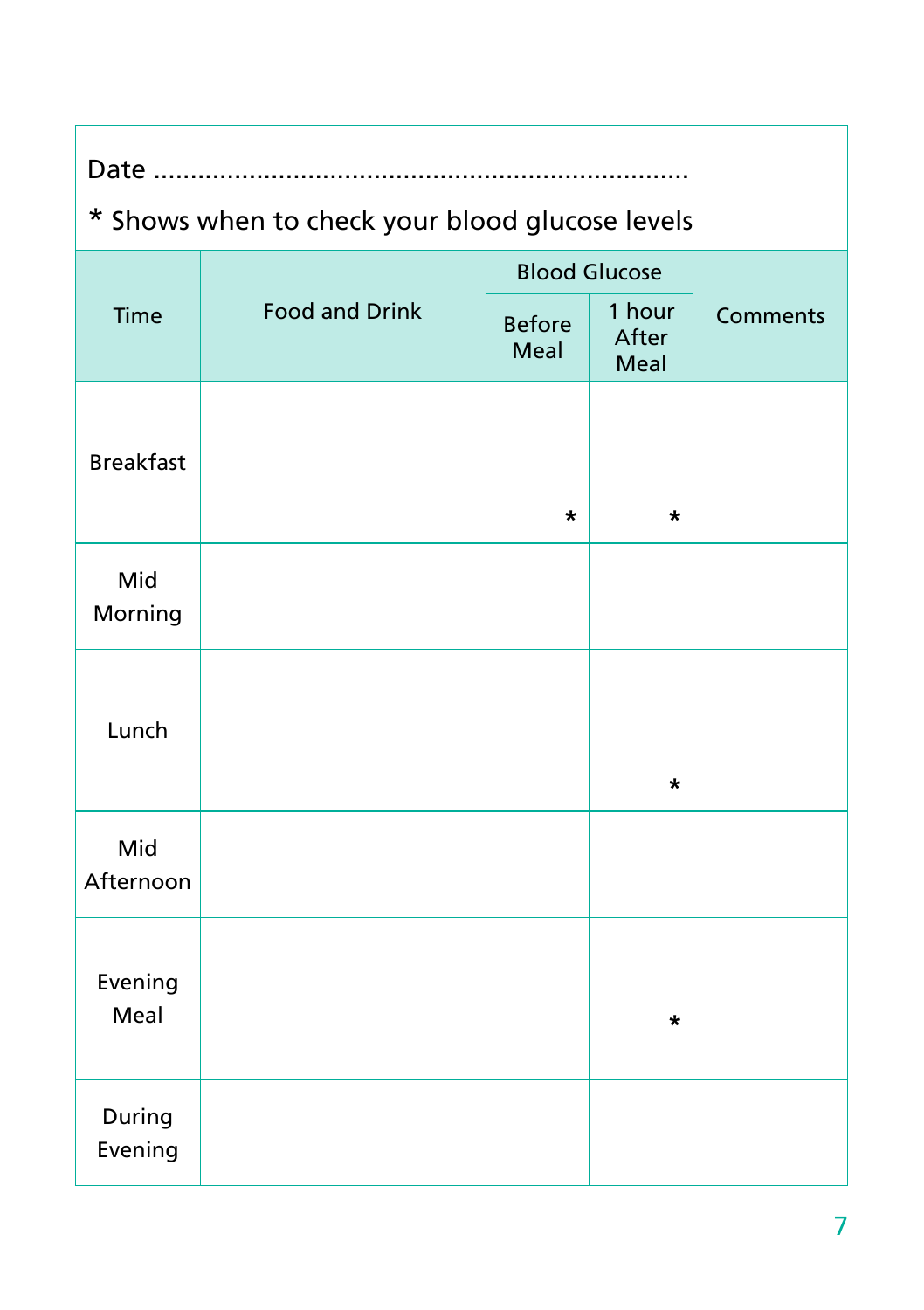| Time              | <b>Food and Drink</b> | <b>Blood Glucose</b>  |                         |          |
|-------------------|-----------------------|-----------------------|-------------------------|----------|
|                   |                       | <b>Before</b><br>Meal | 1 hour<br>After<br>Meal | Comments |
| <b>Breakfast</b>  |                       | *                     | *                       |          |
| Mid<br>Morning    |                       |                       |                         |          |
| Lunch             |                       |                       | *                       |          |
| Mid<br>Afternoon  |                       |                       |                         |          |
| Evening<br>Meal   |                       |                       | *                       |          |
| During<br>Evening |                       |                       |                         |          |